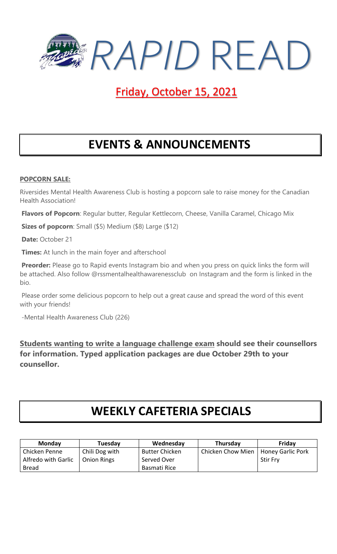

# Friday, October 15, 2021

# **EVENTS & ANNOUNCEMENTS**

### **POPCORN SALE:**

Riversides Mental Health Awareness Club is hosting a popcorn sale to raise money for the Canadian Health Association!

**Flavors of Popcorn**: Regular butter, Regular Kettlecorn, Cheese, Vanilla Caramel, Chicago Mix

**Sizes of popcorn**: Small (\$5) Medium (\$8) Large (\$12)

**Date:** October 21

**Times:** At lunch in the main foyer and afterschool

**Preorder:** Please go to Rapid events Instagram bio and when you press on quick links the form will be attached. Also follow @rssmentalhealthawarenessclub on Instagram and the form is linked in the bio.

Please order some delicious popcorn to help out a great cause and spread the word of this event with your friends!

-Mental Health Awareness Club (226)

**Students wanting to write a language challenge exam should see their counsellors for information. Typed application packages are due October 29th to your counsellor.**

# **WEEKLY CAFETERIA SPECIALS**

| <b>Monday</b>       | Tuesday            | Wednesday             | Thursday          | Friday            |
|---------------------|--------------------|-----------------------|-------------------|-------------------|
| Chicken Penne       | Chili Dog with     | <b>Butter Chicken</b> | Chicken Chow Mien | Honey Garlic Pork |
| Alfredo with Garlic | <b>Onion Rings</b> | Served Over           |                   | <b>Stir Fry</b>   |
| <b>Bread</b>        |                    | Basmati Rice          |                   |                   |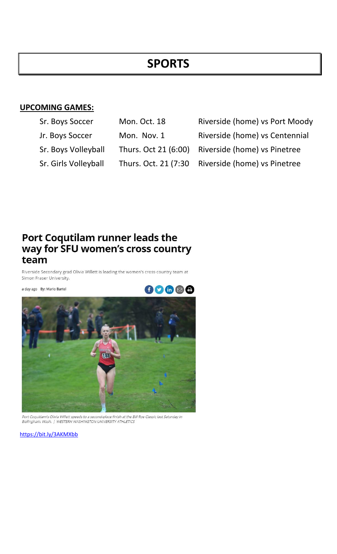## **SPORTS**

### **UPCOMING GAMES:**

| Sr. Boys Soccer      | Mon. Oct. 18          | Riverside ( |
|----------------------|-----------------------|-------------|
| Jr. Boys Soccer      | Mon. Nov. 1           | Riverside ( |
| Sr. Boys Volleyball  | Thurs. Oct 21 (6:00)  | Riverside ( |
| Sr. Girls Volleyball | Thurs. Oct. 21 (7:30) | Riverside ( |

(home) vs Port Moody home) vs Centennial (home) vs Pinetree (home) vs Pinetree

# Port Coqutilam runner leads the<br>way for SFU women's cross country team

Riverside Secondary grad Olivia Willett is leading the women's cross-country team at Simon Fraser University.

a day ago By: Mario Bartel



-<br>Port Coquitlam's Olivia Willett speeds to a second-place finish at the Bill Roe Classic last Saturday in<br>Bellingham, Wash. | WESTERN WASHINGTON UNIVERSITY ATHLETICS

<https://bit.ly/3AKMXbb>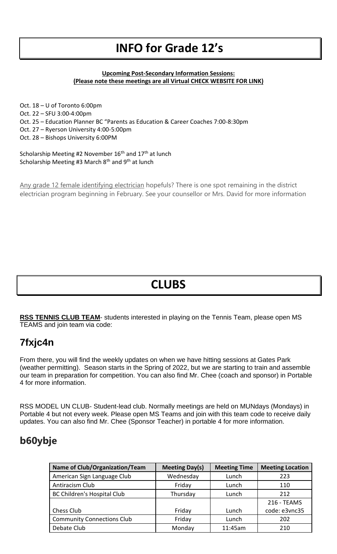# **INFO for Grade 12's**

#### **Upcoming Post-Secondary Information Sessions: (Please note these meetings are all Virtual CHECK WEBSITE FOR LINK)**

Oct. 18 – U of Toronto 6:00pm Oct. 22 – SFU 3:00-4:00pm Oct. 25 – Education Planner BC "Parents as Education & Career Coaches 7:00-8:30pm Oct. 27 – Ryerson University 4:00-5:00pm Oct. 28 – Bishops University 6:00PM Scholarship Meeting #2 November 16<sup>th</sup> and 17<sup>th</sup> at lunch

Scholarship Meeting #3 March  $8<sup>th</sup>$  and  $9<sup>th</sup>$  at lunch

Any grade 12 female identifying electrician hopefuls? There is one spot remaining in the district electrician program beginning in February. See your counsellor or Mrs. David for more information

# **CLUBS**

**RSS TENNIS CLUB TEAM**- students interested in playing on the Tennis Team, please open MS TEAMS and join team via code:

### **7fxjc4n**

From there, you will find the weekly updates on when we have hitting sessions at Gates Park (weather permitting). Season starts in the Spring of 2022, but we are starting to train and assemble our team in preparation for competition. You can also find Mr. Chee (coach and sponsor) in Portable 4 for more information.

RSS MODEL UN CLUB- Student-lead club. Normally meetings are held on MUNdays (Mondays) in Portable 4 but not every week. Please open MS Teams and join with this team code to receive daily updates. You can also find Mr. Chee (Sponsor Teacher) in portable 4 for more information.

## **b60ybje**

| <b>Name of Club/Organization/Team</b> | <b>Meeting Day(s)</b> | <b>Meeting Time</b> | <b>Meeting Location</b> |
|---------------------------------------|-----------------------|---------------------|-------------------------|
| American Sign Language Club           | Wednesday             | Lunch               | 223                     |
| Antiracism Club                       | Friday                | Lunch               | 110                     |
| <b>BC Children's Hospital Club</b>    | Thursday              | Lunch               | 212                     |
|                                       |                       |                     | 216 - TEAMS             |
| Chess Club                            | Friday                | Lunch               | code: e3vnc35           |
| <b>Community Connections Club</b>     | Friday                | Lunch               | 202                     |
| Debate Club                           | Monday                | 11:45am             | 210                     |